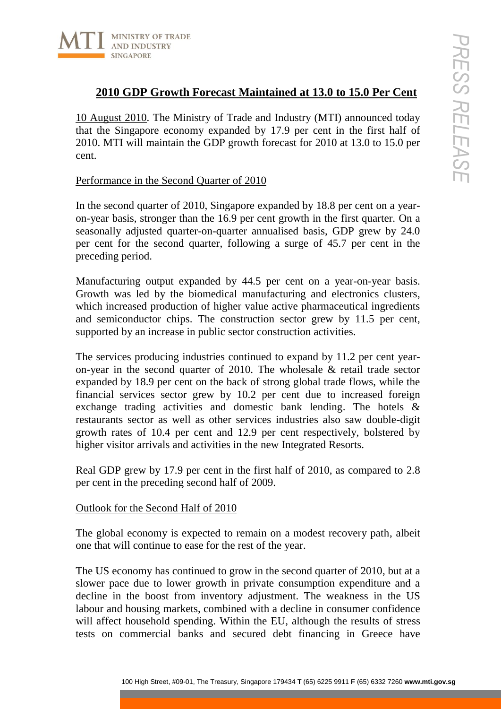

# **2010 GDP Growth Forecast Maintained at 13.0 to 15.0 Per Cent**

10 August 2010. The Ministry of Trade and Industry (MTI) announced today that the Singapore economy expanded by 17.9 per cent in the first half of 2010. MTI will maintain the GDP growth forecast for 2010 at 13.0 to 15.0 per cent.

## Performance in the Second Quarter of 2010

In the second quarter of 2010, Singapore expanded by 18.8 per cent on a yearon-year basis, stronger than the 16.9 per cent growth in the first quarter. On a seasonally adjusted quarter-on-quarter annualised basis, GDP grew by 24.0 per cent for the second quarter, following a surge of 45.7 per cent in the preceding period.

Manufacturing output expanded by 44.5 per cent on a year-on-year basis. Growth was led by the biomedical manufacturing and electronics clusters, which increased production of higher value active pharmaceutical ingredients and semiconductor chips. The construction sector grew by 11.5 per cent, supported by an increase in public sector construction activities.

**100** Growth Functions and the Treasury, System Control Control Control Control Control Control Control Control Control Control Control Control Control Control Control Control Control Control Control Control Control Contr The services producing industries continued to expand by 11.2 per cent yearon-year in the second quarter of 2010. The wholesale & retail trade sector expanded by 18.9 per cent on the back of strong global trade flows, while the financial services sector grew by 10.2 per cent due to increased foreign exchange trading activities and domestic bank lending. The hotels & restaurants sector as well as other services industries also saw double-digit growth rates of 10.4 per cent and 12.9 per cent respectively, bolstered by higher visitor arrivals and activities in the new Integrated Resorts.

Real GDP grew by 17.9 per cent in the first half of 2010, as compared to 2.8 per cent in the preceding second half of 2009.

## Outlook for the Second Half of 2010

The global economy is expected to remain on a modest recovery path, albeit one that will continue to ease for the rest of the year.

The US economy has continued to grow in the second quarter of 2010, but at a slower pace due to lower growth in private consumption expenditure and a decline in the boost from inventory adjustment. The weakness in the US labour and housing markets, combined with a decline in consumer confidence will affect household spending. Within the EU, although the results of stress tests on commercial banks and secured debt financing in Greece have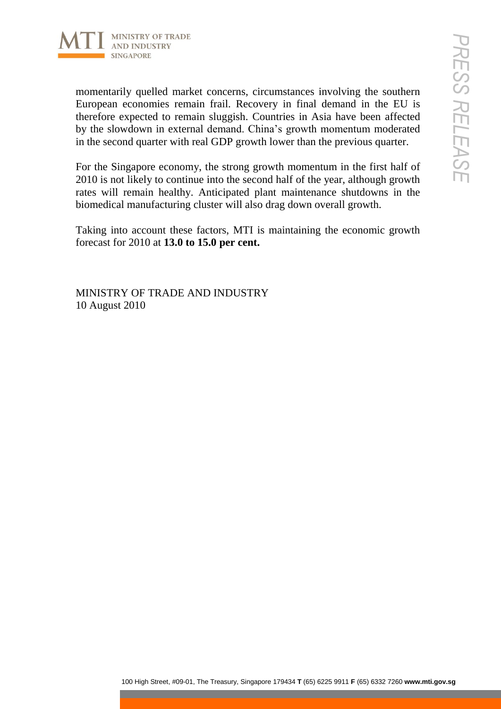

100 High Street, #1406<br>
400 High Street concerns, circumstances involving the southern Concerns<br>
100 Hy ayer properted to remain singapits. Contains in a bial alter wall read fired to the TU is<br>
2000 However that the Tech momentarily quelled market concerns, circumstances involving the southern European economies remain frail. Recovery in final demand in the EU is therefore expected to remain sluggish. Countries in Asia have been affected by the slowdown in external demand. China's growth momentum moderated in the second quarter with real GDP growth lower than the previous quarter.

For the Singapore economy, the strong growth momentum in the first half of 2010 is not likely to continue into the second half of the year, although growth rates will remain healthy. Anticipated plant maintenance shutdowns in the biomedical manufacturing cluster will also drag down overall growth.

Taking into account these factors, MTI is maintaining the economic growth forecast for 2010 at **13.0 to 15.0 per cent.**

MINISTRY OF TRADE AND INDUSTRY 10 August 2010